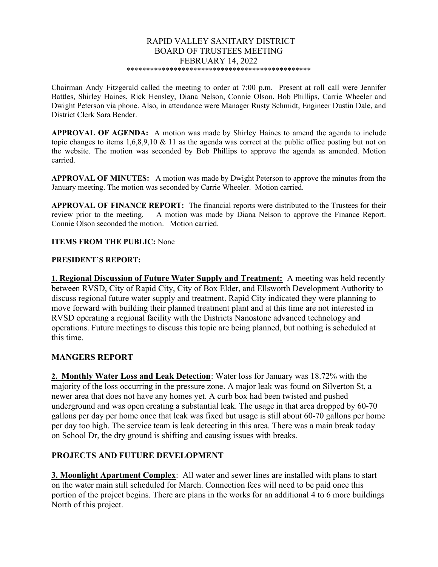#### RAPID VALLEY SANITARY DISTRICT BOARD OF TRUSTEES MEETING FEBRUARY 14, 2022 \*\*\*\*\*\*\*\*\*\*\*\*\*\*\*\*\*\*\*\*\*\*\*\*\*\*\*\*\*\*\*\*\*\*\*\*\*\*\*\*\*\*\*\*\*\*\*

Chairman Andy Fitzgerald called the meeting to order at 7:00 p.m. Present at roll call were Jennifer Battles, Shirley Haines, Rick Hensley, Diana Nelson, Connie Olson, Bob Phillips, Carrie Wheeler and Dwight Peterson via phone. Also, in attendance were Manager Rusty Schmidt, Engineer Dustin Dale, and District Clerk Sara Bender.

APPROVAL OF AGENDA: A motion was made by Shirley Haines to amend the agenda to include topic changes to items  $1,6,8,9,10 \& 11$  as the agenda was correct at the public office posting but not on the website. The motion was seconded by Bob Phillips to approve the agenda as amended. Motion carried.

APPROVAL OF MINUTES: A motion was made by Dwight Peterson to approve the minutes from the January meeting. The motion was seconded by Carrie Wheeler. Motion carried.

APPROVAL OF FINANCE REPORT: The financial reports were distributed to the Trustees for their review prior to the meeting. A motion was made by Diana Nelson to approve the Finance Report. Connie Olson seconded the motion. Motion carried.

#### ITEMS FROM THE PUBLIC: None

#### PRESIDENT'S REPORT:

1. Regional Discussion of Future Water Supply and Treatment: A meeting was held recently between RVSD, City of Rapid City, City of Box Elder, and Ellsworth Development Authority to discuss regional future water supply and treatment. Rapid City indicated they were planning to move forward with building their planned treatment plant and at this time are not interested in RVSD operating a regional facility with the Districts Nanostone advanced technology and operations. Future meetings to discuss this topic are being planned, but nothing is scheduled at this time.

## MANGERS REPORT

2. Monthly Water Loss and Leak Detection: Water loss for January was 18.72% with the majority of the loss occurring in the pressure zone. A major leak was found on Silverton St, a newer area that does not have any homes yet. A curb box had been twisted and pushed underground and was open creating a substantial leak. The usage in that area dropped by 60-70 gallons per day per home once that leak was fixed but usage is still about 60-70 gallons per home per day too high. The service team is leak detecting in this area. There was a main break today on School Dr, the dry ground is shifting and causing issues with breaks.

## PROJECTS AND FUTURE DEVELOPMENT

3. Moonlight Apartment Complex: All water and sewer lines are installed with plans to start on the water main still scheduled for March. Connection fees will need to be paid once this portion of the project begins. There are plans in the works for an additional 4 to 6 more buildings North of this project.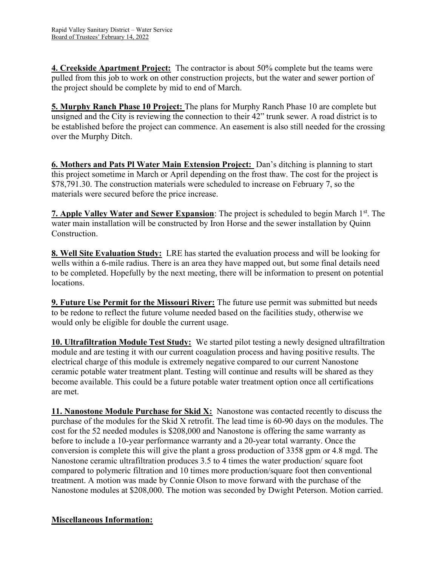4. Creekside Apartment Project: The contractor is about 50% complete but the teams were pulled from this job to work on other construction projects, but the water and sewer portion of the project should be complete by mid to end of March.

5. Murphy Ranch Phase 10 Project: The plans for Murphy Ranch Phase 10 are complete but unsigned and the City is reviewing the connection to their 42" trunk sewer. A road district is to be established before the project can commence. An easement is also still needed for the crossing over the Murphy Ditch.

6. Mothers and Pats Pl Water Main Extension Project: Dan's ditching is planning to start this project sometime in March or April depending on the frost thaw. The cost for the project is \$78,791.30. The construction materials were scheduled to increase on February 7, so the materials were secured before the price increase.

7. Apple Valley Water and Sewer Expansion: The project is scheduled to begin March 1<sup>st</sup>. The water main installation will be constructed by Iron Horse and the sewer installation by Quinn Construction.

8. Well Site Evaluation Study: LRE has started the evaluation process and will be looking for wells within a 6-mile radius. There is an area they have mapped out, but some final details need to be completed. Hopefully by the next meeting, there will be information to present on potential locations.

**9. Future Use Permit for the Missouri River:** The future use permit was submitted but needs to be redone to reflect the future volume needed based on the facilities study, otherwise we would only be eligible for double the current usage.

10. Ultrafiltration Module Test Study: We started pilot testing a newly designed ultrafiltration module and are testing it with our current coagulation process and having positive results. The electrical charge of this module is extremely negative compared to our current Nanostone ceramic potable water treatment plant. Testing will continue and results will be shared as they become available. This could be a future potable water treatment option once all certifications are met.

11. Nanostone Module Purchase for Skid  $X$ : Nanostone was contacted recently to discuss the purchase of the modules for the Skid X retrofit. The lead time is 60-90 days on the modules. The cost for the 52 needed modules is \$208,000 and Nanostone is offering the same warranty as before to include a 10-year performance warranty and a 20-year total warranty. Once the conversion is complete this will give the plant a gross production of 3358 gpm or 4.8 mgd. The Nanostone ceramic ultrafiltration produces 3.5 to 4 times the water production/ square foot compared to polymeric filtration and 10 times more production/square foot then conventional treatment. A motion was made by Connie Olson to move forward with the purchase of the Nanostone modules at \$208,000. The motion was seconded by Dwight Peterson. Motion carried.

# Miscellaneous Information: